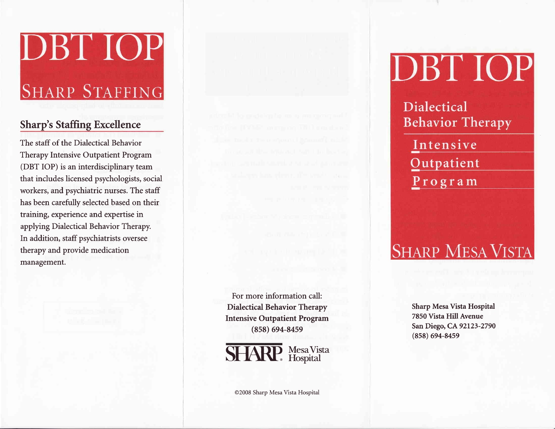# DBT IOP

## **SHARP STAFFING**

### Sharp's Staffing Excellence

The staff of the Dialectical Behavior Therapy Intensive Outpatient Program (DBT IOP) is an interdisciplinary team that includes licensed psychologists, social workers, and psychiatric nurses. The staff has been carefully selected based on their training, experience and expertise in applying Dialectical Behavior Therapy. In addition, staff psychiatrists oversee therapy and provide medication management.

For more information call: Dialectical Behavior Therapy Intensive Outpatient Program (8s8) 694-84s9



@2008 Sharp Mesa Vista Hospital

## DBT IOP

Dialectical **Behavior Therapy** 

Intensive **Qutpatient**  $P rogram$ </u>

## **SHARP MESA VISTA**

Sharp Mesa Vista Hospital 7850 Vista Hill Avenue San Diego, CA 92123-2790 (8s8) 694-845e